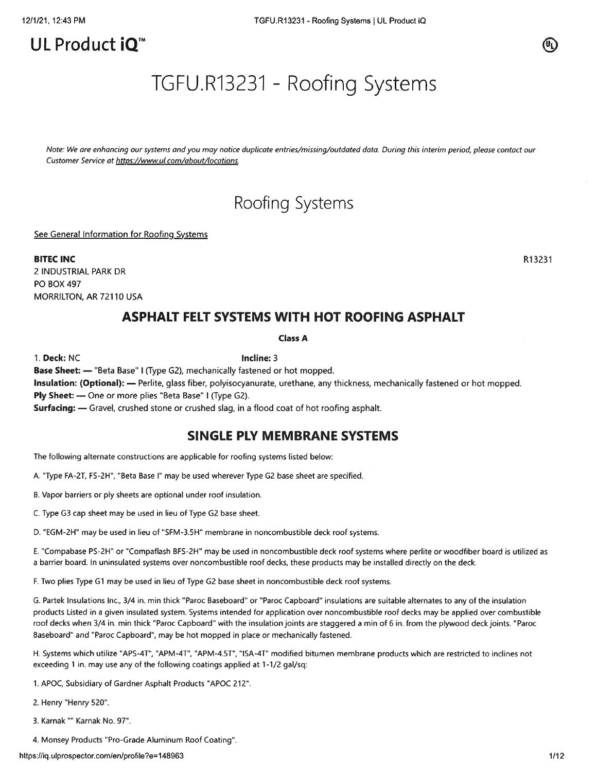# UL Product iO<sup>™</sup>

TGFU.R13231 - Roofing Systems

Note: We are enhancing our systems and you may notice duplicate entries/missing/outdated data. During this interim period, please contact our Customer Service at https://www.ul.com/about/locations.

# Roofing Systems

See General Information for Roofing Systems

BITEC INC R13231 2 INDUSTRIAL PARK DR P0 BOX 497 MORRILTON, AR 72110 USA

# ASPHALT FELT SYSTEMS WITH HOT ROOFING ASPHALT

### Class A

1. Deck: NC **Incline: 3** 

Base Sheet: — "Beta Base" I (Type G2), mechanically fastened or hot mopped.

Insulation: (Optional): — Perlite, glass fiber, polyisocyanurate, urethane, any thickness, mechanically fastened or hot mopped. Ply Sheet: — One or more plies "Beta Base" <sup>I</sup> (Type G2).

Surfacing: — Gravel, crushed stone or crushed slag, in <sup>a</sup> flood coat of hot roofing asphalt.

## SINGLE PLY MEMBRANE SYSTEMS

The following alternate constructions are applicable for roofing systems listed below:

A. "Type FA-2T, FS-2H", "Beta Base I' may be used wherever Type G2 base sheet are specified.

B. Vapor barriers or ply sheets are optional under roof insulation.

C. Type G3 cap sheet may be used in lieu of Type G2 base sheet.

D. "EGM-2H" may be used in lieu of "SFM-3.5H" membrane in noncombustible deck roof systems.

E. "Compabase PS-2H" or "Compaflash BFS-2H" may be used in noncombustible deck roof systems where perlite or woodfiber board is utilized as <sup>a</sup> barrier board. In uninsulated systems over noncombustible roof decks, these products may be installed directly on the deck.

F. Two plies Type Gi may be used in lieu of Type G2 base sheet in noncombustible deck roof systems.

G. Partek Insulations Inc., 3/4 in. mm thick "Paroc Baseboard" or "Paroc Capboard" insulations are suitable alternates to any of the insulation products Listed in <sup>a</sup> given insulated system. Systems intended for application over noncombustible roof decks may be applied over combustible roof decks when 3/4 in. mm thick "Paroc Capboard" with the insulation joints are staggered <sup>a</sup> mm of <sup>6</sup> in. from the plywood deck joints. "Paroc Baseboard" and "Paroc Capboard", may be hot mopped in place or mechanically fastened.

H. Systems which utilize "APS-4T", "APM-4T", "APM-4.5T", "ISA-4T" modified bitumen membrane products which are restricted to inclines not exceeding 1 in. may use any of the following coatings applied at 1-1/2 gal/sq:

1. APOC, Subsidiary of Gardner Asphalt Products "APOC 212".

2. Henry "Henry 520".

3. Karnak "" Karnak No. 97".

4. Monsey Products "Pro-Grade Aluminum Roof Coating".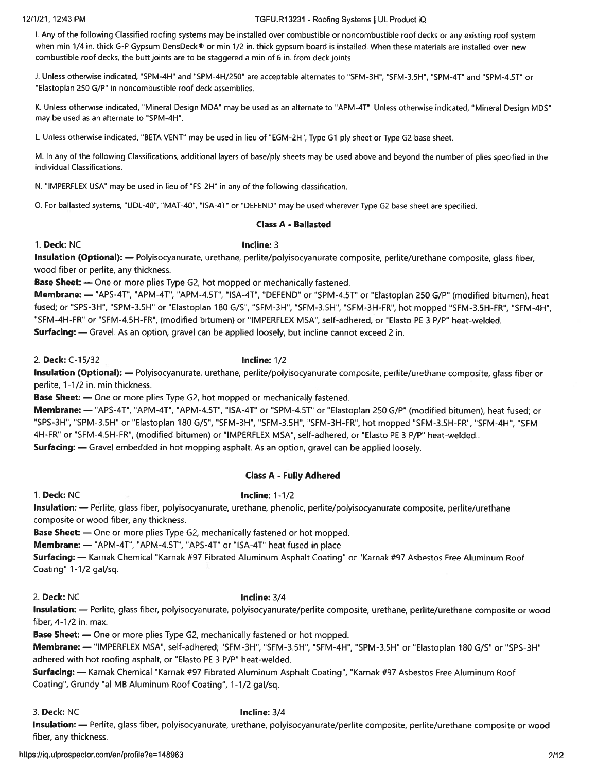### 12/1/21, 12:43 PM TGFU.R13231 -Roofing Systems I UL Product iQ

I. Any of the following Classified roofing systems may be installed over combustible or noncombustible roof decks or any existing roof system when min 1/4 in. thick G-P Gypsum DensDeck® or min 1/2 in. thick gypsum board is installed. When these materials are installed over new combustible roof decks, the butt joints are to be staggered a min of 6 in. from deck joints.

J. Unless otherwise indicated, "SPM-4H" and "SPM-4H/250" are acceptable alternates to "SFM-3H", "SFM-3.5H", "SPM-4T" and "SPM-4,ST" or "Elastoplan 250 G/P" in noncombustible roof deck assemblies.

K. Unless otherwise indicated, "Mineral Design MDA" may be used as an alternate to 'APM-4T". Unless otherwise indicated, "Mineral Design MDS" may be used as an alternate to "SPM-4H".

L. Unless otherwise indicated, "BETA VENT" may be used in lieu of "EGM-2H", Type G1 <sup>p</sup>ly sheet or Type G2 base sheet.

M. In any of the following Classifications, additional layers of base/ply sheets may be used above and beyond the number of <sup>p</sup>lies specified in the individual Classifications.

N. "IMPERFLEX USA" may be used in lieu of "FS-2H" in any of the following classification.

0. For ballasted systems, "UDL-40", "MAT-40", "ISA-4T" or "DEFEND" may be used wherever Type G2 base sheet are specified.

### Class A - Ballasted

### 1. Deck: NC **Incline: 3**

Insulation (Optional): — Polyisocyanurate, urethane, perlite/polyisocyanurate composite, perlite/urethane composite, <sup>g</sup>lass fiber, wood fiber or perlite, any thickness.

Base Sheet: — One or more <sup>p</sup>lies Type G2, hot mopped or mechanically fastened.

Membrane: — "APS-4T", "APM-4T", 'APM-4.5T", "ISA-4T", "DEFEND" or "SPM-4.5T" or "Elastoplan <sup>250</sup> G/P" (modified bitumen), heat fused; or "SPS-3H", "SPM-3.SH" or "Elastoplan 180 G/S", "SFM-3H", "SFM-3.5H", "SFM-3H-FR", hot mopped "SFM-3.5H-FR", "SFM-4H", "SFM-4H-FR" or "SFM-4.5H-FR", (modified bitumen) or "IMPERFLEX MSA", self-adhered, or "Elasto PE 3 P/P' heat-welded. Surfacing: — Gravel. As an option, grave<sup>l</sup> can be applied loosely, but incline cannot exceed <sup>2</sup> in.

2. Deck: C-i 5/32 Incline: 1/2

Insulation (Optional): — Polyisocyanurate, urethane, perlite/polyisocyanurate composite, perlite/urethane composite, <sup>g</sup>lass fiber or perlite, 1-1/2 in. min thickness.

Base Sheet: — One or more <sup>p</sup>lies Type G2, hot mopped or mechanically fastened.

Membrane: — "APS-4T", "APM-4T", "APM-4.5T", "ISA-4T" or "SPM-4.5T" or "Elastoplan 250 G/P" (modified bitumen), heat fused; or "SPS-3H", "SPM-3.SH" or "Elastoplan 180 G/S", "SFM-3H", "SFM-3.5H", "SFM-3H-FR", hot mopped "SFM-3.5H-FR", "SFM-4H", "SFM 4H-FR" or "SFM-4.5H-FR", (modified bitumen) or "IMPERFLEX MSA", self-adhered, or "Elasto PE 3 P/P' heat-welded.. Surfacing: — Gravel embedded in hot mopping asphalt. As an option, grave<sup>l</sup> can be applied loosely.

### Class A - Fully Adhered

### 1. Deck: NC **Incline: 1-1/2**

Insulation: - Perlite, glass fiber, polyisocyanurate, urethane, phenolic, perlite/polyisocyanurate composite, perlite/urethane composite or wood fiber, any thickness.

Base Sheet: — One or more <sup>p</sup>lies Type G2, mechanically fastened or hot mopped.

Membrane: — "APM-4T", "APM-4.5T", "APS-4T" or "ISA-4T" heat fused in place.

Surfacing: — Karnak Chemical "Karnak #97 Fibrated Aluminum Asphalt Coating" or "Karnak #97 Asbestos Free Aluminum Roof Coating" 1-1/2 gal/sq.

2. Deck: NC **Incline: 3/4** 

Insulation: - Perlite, glass fiber, polyisocyanurate, polyisocyanurate/perlite composite, urethane, perlite/urethane composite or wood fiber, 4-1/2 in. max.

Base Sheet: — One or more <sup>p</sup>lies Type G2, mechanically fastened or hot mopped.

Membrane: — "IMPERFLEX MSA", self-adhered; "SFM-3H", "SFM-3.SH", "SFM-4H", "SPM-3.5H" or "Elastoplan <sup>180</sup> G/S" or "SPS-3H" adhered with hot roofing asphalt, or "Elasto PE 3 P/P' heat-welded.

Surfacing: — Karnak Chemical "Karnak #97 Fibrated Aluminum Asphalt Coating", "Karnak #97 Asbestos Free Aluminum Roof Coating", Grundy 'al MB Aluminum Roof Coating", 1-1/2 gal/sq.

3. Deck: NC **Incline: 3/4** 

Insulation: — Perlite, <sup>g</sup>lass fiber, polyisocyanurate, urethane, polyisocyanurate/perlite composite, perlite/urethane composite or wood fiber, any thickness.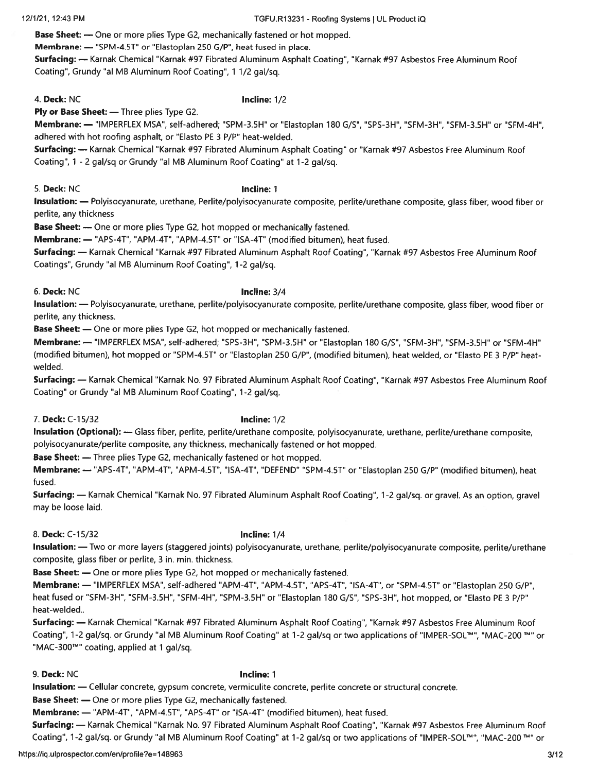### 12/1/21, 12:43 PM TGFU.R1 3231 -Roofing Systems I UL Product iQ

Base Sheet: — One or more plies Type G2, mechanically fastened or hot mopped.

Membrane: — "SPM-4.5T' or "Elastoplan 250 G/P", heat fused in place.

Surfacing: - Karnak Chemical "Karnak #97 Fibrated Aluminum Asphalt Coating", "Karnak #97 Asbestos Free Aluminum Roof Coating", Grundy "al MB Aluminum Roof Coating", 1 1/2 gal/sq.

4. Deck: NC **Incline: 1/2** 

Ply or Base Sheet: - Three plies Type G2.

Membrane: — "IMPERFLEX MSA", self-adhered; "SPM-3.SH" or "Elastoplan 180 G/S", "SPS-3H", "SFM-3H", "SFM-3.5H" or "SFM-4H", adhered with hot roofing asphalt, or "Elasto PE 3 P/P" heat-welded.

Surfacing: — Karnak Chemical "Karnak #97 Fibrated Aluminum Asphalt Coating" or "Karnak #97 Asbestos Free Aluminum Roof Coating", <sup>1</sup> - <sup>2</sup> gal/sq or Grundy "al MB Aluminum Roof Coating" at 1-2 gal/sq.

5. Deck: NC **Incline: 1** 

Insulation: — Polyisocyanurate, urethane, Perlite/polyisocyanurate composite, perlite/urethane composite, <sup>g</sup>lass fiber, wood fiber or perlite, any thickness

Base Sheet: — One or more plies Type G2, hot mopped or mechanically fastened.

Membrane: — "APS-4T", "APM-4T", "APM-4.5T" or "ISA-4T" (modified bitumen), heat fused.

Surfacing: — Karnak Chemical "Karnak #97 Fibrated Aluminum Asphalt Roof Coating", "Karnak #97 Asbestos Free Aluminum Roof Coatings", Grundy "a! MB Aluminum Roof Coating", 1-2 gal/sq.

6. Deck: NC Incline: 3/4

Insulation: - Polyisocyanurate, urethane, perlite/polyisocyanurate composite, perlite/urethane composite, glass fiber, wood fiber or perlite, any thickness.

Base Sheet: — One or more plies Type G2, hot mopped or mechanically fastened.

Membrane: — "IMPERFLEX MSA", self-adhered; "SPS-3H", "SPM-3.5H" or "Elastoplan 180 G/S", "SFM-3H", "SFM-3.5H" or "SFM-4H" (modified bitumen), hot mopped or "SPM-4.5T" or "Elastoplan 250 G/P", (modified bitumen), heat welded, or "Elasto PE 3 P/P" heatwelded.

Surfacing: — Karnak Chemical "Karnak No. 97 Fibrated Aluminum Asphalt Roof Coating", "Karnak #97 Asbestos Free Aluminum Roof Coating" or Grundy "a! MB Aluminum Roof Coating", 1-2 gal/sq.

7. Deck: C-15/32 **Incline:** 1/2

Insulation (Optional): — Glass fiber, perlite, perlite/urethane composite, polyisocyanurate, urethane, perlite/urethane composite, polyisocyanurate/perlite composite, any thickness, mechanically fastened or hot mopped.

Base Sheet: — Three plies Type G2, mechanically fastened or hot mopped.

Membrane: — "APS-4T", "APM-4T", "APM-4.5T", "ISA-4T", "DEFEND" "SPM-4.5T" or "Elastoplan 250 G/P" (modified bitumen), heat fused.

Surfacing: — Karnak Chemical "Karnak No. <sup>97</sup> Fibrated Aluminum Asphalt Roof Coating", 1-2 gal/sq. or gravel. As an option, grave<sup>l</sup> may be loose laid.

8. Deck: C-15/32 **Incline:** 1/4

Insulation: — Two or more layers (staggered joints) polyisocyanurate, urethane, perlite/polyisocyanurate composite, perlite/urethane composite, glass fiber or perlite, 3 in. min. thickness.

Base Sheet: — One or more plies Type G2, hot mopped or mechanically fastened.

Membrane: — "IMPERFLEX MSA", self-adhered "APM-4T", "APM-4.5T", "APS-4T", "ISA-4T", or "SPM-4.5T" or "Elastoplan <sup>250</sup> G/P", heat fused or "SFM-3H", "SFM-3.5H", "SFM-4H", "SPM-3.5H" or "Elastoplan 180 G/S", "SPS-3H", hot mopped, or "Elasto PE 3 P/P" heat-welded..

Surfacing: — Karnak Chemical 'Karnak #97 Fibrated Aluminum Asphalt Roof Coating", "Karnak #97 Asbestos Free Aluminum Roof Coating", 1-2 gal/sq. or Grundy 'al MB Aluminum Roof Coating" at 1-2 gal/sq or two applications of "lMPER-SOL"'", "MAC-200 "or "MAC-300<sup>TM</sup>" coating, applied at 1 gal/sq.

9. Deck: NC 10. The contract of the contract of the contract of the contract of the contract of the contract of the contract of the contract of the contract of the contract of the contract of the contract of the contract o

Insulation: — Cellular concrete, gypsum concrete, vermiculite concrete, perlite concrete or structural concrete.

Base Sheet: — One or more plies Type G2, mechanically fastened.

Membrane: — "APM-4T", "APM-4.ST", "APS-4T" or "ISA-4T" (modified bitumen), heat fused.

Surfacing: — Karnak Chemical "Karnak No. 97 Fibrated Aluminum Asphalt Roof Coating", "Karnak #97 Asbestos Free Aluminum Roof Coating", 1-2 gal/sq. or Grundy "al MB Aluminum Roof Coating" at 1-2 gal/sq or two applications of "IMPER-SOL'M", "MAC-200 TM" or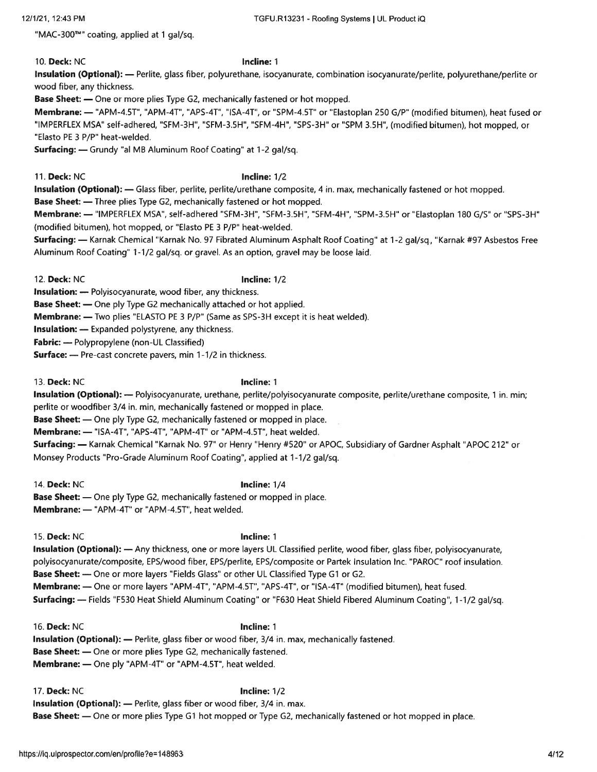"MAC-300™" coating, applied at 1 gal/sq.

### 10. Deck: NC 10. Incline: 1

Insulation (Optional): — Perlite, <sup>g</sup>lass fiber, polyurethane, isocyanurate, combination isocyanurate/perlite, polyurethane/perlite or wood fiber, any thickness.

Base Sheet: — One or more plies Type G2, mechanically fastened or hot mopped.

Membrane: — 'APM-4.5T", "APM-4T", "APS-4T", "ISA-4T", or "SPM-4.5T" or "Elastoplan 250 G/P" (modified bitumen), heat fused or "IMPERFLEX MSA" self-adhered, "SFM-3H", "SFM-3.SH", "SFM-4H", "SPS-3H" or "SPM 3.5H", (modified bitumen), hot mopped, or "Elasto PE 3 P/P" heat-welded.

Surfacing: - Grundy "al MB Aluminum Roof Coating" at 1-2 gal/sq.

11. Deck: NC Incline: 1/2

Insulation (Optional): — Glass fiber, perlite, perlite/urethane composite, 4 in. max, mechanically fastened or hot mopped.

Base Sheet: — Three plies Type G2, mechanically fastened or hot mopped.

Membrane: — "IMPERFLEX MSA", self-adhered "SFM-3H", "SFM-3.5H", "SFM-4H", "SPM-3.5H" or "Elastoplan 180 G/S" or "SPS-3H' (modified bitumen), hot mopped, or "Elasto PE 3 P/P' heat-welded.

Surfacing: - Karnak Chemical "Karnak No. 97 Fibrated Aluminum Asphalt Roof Coating" at 1-2 gal/sq., "Karnak #97 Asbestos Free Aluminum Roof Coating" 1-1/2 gal/sq. or gravel. As an option, gravel may be loose laid.

12. Deck: NC Incline: 1/2

Insulation: — Polyisocyanurate, wood fiber, any thickness.

Base Sheet: — One piy Type G2 mechanically attached or hot applied.

Membrane: — Two plies "ELASTO PE 3 P/P' (Same as SPS-3H excep<sup>t</sup> it is heat welded).

Insulation: — Expanded polystyrene, any thickness.

Fabric: — Polypropylene (non-UL Classified)

Surface: - Pre-cast concrete pavers, min 1-1/2 in thickness.

13. Deck: NC **Incline: 1** 

Insulation (Optional): — Polyisocyanurate, urethane, perlite/polyisocyanurate composite, perlite/urethane composite, 1 in. min; perlite or woodfiber 3/4 in. min, mechanically fastened or mopped in place.

Base Sheet: — One ply Type G2, mechanically fastened or mopped in place.

Membrane: - "ISA-4T", "APS-4T", "APM-4T" or "APM-4.5T", heat welded.

Surfacing: - Karnak Chemical "Karnak No. 97" or Henry "Henry #520" or APOC, Subsidiary of Gardner Asphalt "APOC 212" or Monsey Products "Pro-Grade Aluminum Roof Coating", applied at 1-1/2 gal/sq.

14. Deck: NC **Incline:** 1/4 Base Sheet: — One ply Type G2, mechanically fastened or mopped in place. Membrane: - "APM-4T" or "APM-4.5T", heat welded.

15. Deck: NC 15. Incline: 1

Insulation (Optional): — Any thickness, one or more layers UL Classified perlite, wood fiber, glass fiber, polyisocyanurate, polyisocyanurate/composite, EPS/wood fiber, EPS/perlite, EPS/composite or Partek Insulation Inc. "PAROC" roof insulation. Base Sheet: — One or more layers "Fields Glass" or other UL Classified Type G1 or G2. Membrane: — One or more layers "APM-4T", "APM-4.5T", "APS-4T", or "ISA-4T" (modified bitumen), heat fused. Surfacing: — Fields "F530 Heat Shield Aluminum Coating" or "F630 Heat Shield Fibered Aluminum Coating", 1-1/2 gal/sq.

16. Deck: NC 16. Incline: 1 Insulation (Optional): — Perlite, glass fiber or wood fiber, 3/4 in. max, mechanically fastened. Base Sheet: — One or more plies Type G2, mechanically fastened. Membrane: — One ply "APM-4T" or "APM-4.ST", heat welded.

17. Deck: NC **Incline: 1/2** Insulation (Optional): — Perlite, glass fiber or wood fiber, 3/4 in. max. Base Sheet: — One or more <sup>p</sup>lies Type G1 hot mopped or Type G2, mechanically fastened or hot mopped in <sup>p</sup>lace.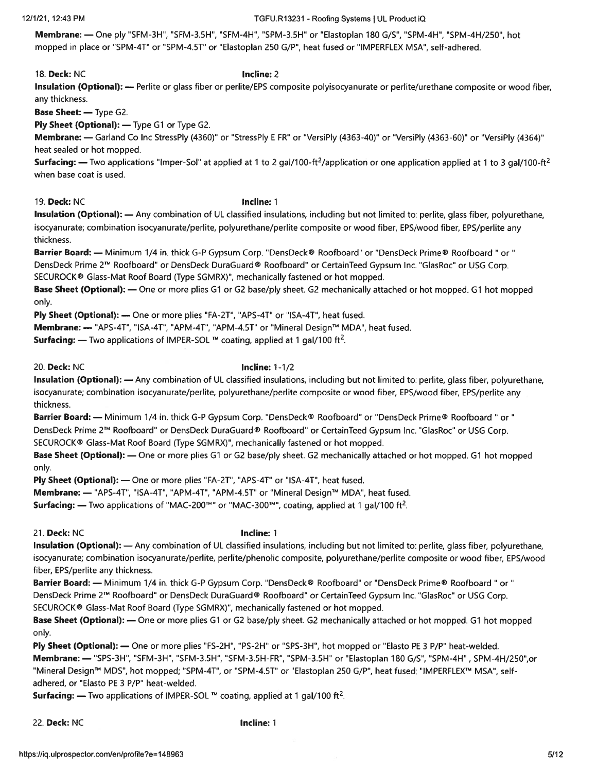### 12/1/21, 12:43 PM TGFU.R13231 - Roofing Systems I UL Product iQ

Membrane: — One ply "SFM-3H", "SFM-3.5H", "SFM-4H", "SPM-3.5H" or "Elastoplan 180 G/S", "SPM-4H", "SPM-4H/250", hot mopped in place or "SPM-4T" or "SPM-4.5T" or "Elastoplan 250 G/P", heat fused or "IMPERFLEX MSA", self-adhered.

18. Deck: NC **Incline: 2** Insulation (Optional): — Perlite or glass fiber or perlite/EPS composite polyisocyanurate or perlite/urethane composite or wood fiber, any thickness. Base Sheet: — Type G2.

Ply Sheet (Optional): — Type G1 or Type G2.

Membrane: — Garland Co Inc StressPly (4360)" or "StressPly E FR" or "VersiPly (4363-40)" or "VersiPly (4363-60)" or "VersiPly (4364)" heat sealed or hot mopped.

**Surfacing:** — Two applications "Imper-Sol" at applied at 1 to 2 gal/100-ft<sup>2</sup>/application or one application applied at 1 to 3 gal/100-ft<sup>2</sup> when base coat is used.

19. Deck: NC 19. Incline: 1

Insulation (Optional): - Any combination of UL classified insulations, including but not limited to: perlite, glass fiber, polyurethane, isocyanurate; combination isocyanurate/perlite, polyurethane/perlite composite or wood fiber, EPS/wood fiber, EPS/perlite any thickness.

Barrier Board: — Minimum 1/4 in. thick G-P Gypsum Corp. "DensDeck® Roofboard" or "DensDeck Prime® Roofboard " or" DensDeck Prime 2TM Roofboard" or DensDeck DuraGuard® Roofboard" or Certainleed Gypsum Inc. "GlasRoc" or USG Corp. SECUROCK® Glass-Mat Roof Board (Type SGMRX)", mechanically fastened or hot mopped.

Base Sheet (Optional): — One or more plies G1 or G2 base/ply sheet. G2 mechanically attached or hot mopped. G1 hot mopped only.

Ply Sheet (Optional): — One or more plies "FA-2T", "APS-4T" or "ISA-4T", heat fused.

Membrane: --- "APS-4T", "ISA-4T", "APM-4T", "APM-4.5T" or "Mineral Design™ MDA", heat fused.

**Surfacing:** — Two applications of IMPER-SOL  $M$  coating, applied at 1 gal/100 ft<sup>2</sup>.

20. Deck: NC **Incline: 1-1/2** 

Insulation (Optional): — Any combination of UL classified insulations, including but not limited to: perlite, <sup>g</sup>lass fiber, polyurethane, isocyanurate; combination isocyanurate/perlite, polyurethane/perlite composite or wood fiber, EPS/wood fiber, EPS/perlite any thickness.

Barrier Board: — Minimum 1/4 in. thick G-P Gypsum Corp. "DensDeck® Roofboard" or "DensDeck Prime® Roofboard " or DensDeck Prime 2TM Roofboard" or DensDeck DuraGuard® Roofboard" or CertainTeed Gypsum Inc. "GlasRoc" or USG Corp. SECUROCK® Glass-Mat Roof Board (Type SGMRX)", mechanically fastened or hot mopped.

Base Sheet (Optional): — One or more plies G1 or G2 base/ply sheet. G2 mechanically attached or hot mopped. G1 hot mopped only.

Ply Sheet (Optional): - One or more plies "FA-2T", "APS-4T" or "ISA-4T", heat fused.

Membrane: - "APS-4T", "ISA-4T", "APM-4T", "APM-4.5T" or "Mineral Design™ MDA", heat fused.

**Surfacing:** — Two applications of "MAC-200<sup>TM</sup>" or "MAC-300<sup>TM</sup>", coating, applied at 1 gal/100 ft<sup>2</sup>.

21. Deck: NC **Incline: 1** 

Insulation (Optional): — Any combination of UL classified insulations, including but not limited to: perlite, glass fiber, polyurethane, isocyanurate; combination isocyanurate/perlite, perlite/phenolic composite, polyurethane/perlite composite or wood fiber, EPS/wood fiber, EPS/perlite any thickness.

Barrier Board: — Minimum 1/4 in. thick G-P Gypsum Corp. "DensDeck® Roofboard" or "DensDeck Prime® Roofboard " or" DensDeck Prime 2TM Roofboard" or DensDeck DuraGuard® Roofboard" or Certainleed Gypsum Inc. "GlasRoc" or USG Corp. SECUROCK® Glass-Mat Roof Board (Type SGMRX)", mechanically fastened or hot mopped.

Base Sheet (Optional): — One or more <sup>p</sup>lies Gi or G2 base/ply sheet. G2 mechanically attached or hot mopped. Gi hot mopped only.

Ply Sheet (Optional): — One or more plies "FS-2H", "PS-2H" or "SPS-3H", hot mopped or "Elasto PE 3 P/P" heat-welded. Membrane: — "SPS-3H", "SFM-3H", "SFM-3.5H", "SFM-3,5H-FR", "SPM-3.5H" or "Elastoplan 180 G/S", "SPM-4H", SPM-4H/250",or "Mineral Design™ MDS", hot mopped; "SPM-4T", or "SPM-4.5T" or "Elastoplan 250 G/P", heat fused; "IMPERFLEX™ MSA", selfadhered, or "Elasto PE 3 P/P" heat-welded.

**Surfacing:** — Two applications of IMPER-SOL ™ coating, applied at 1 gal/100 ft<sup>2</sup>.

22. Deck: NC **Incline: 1**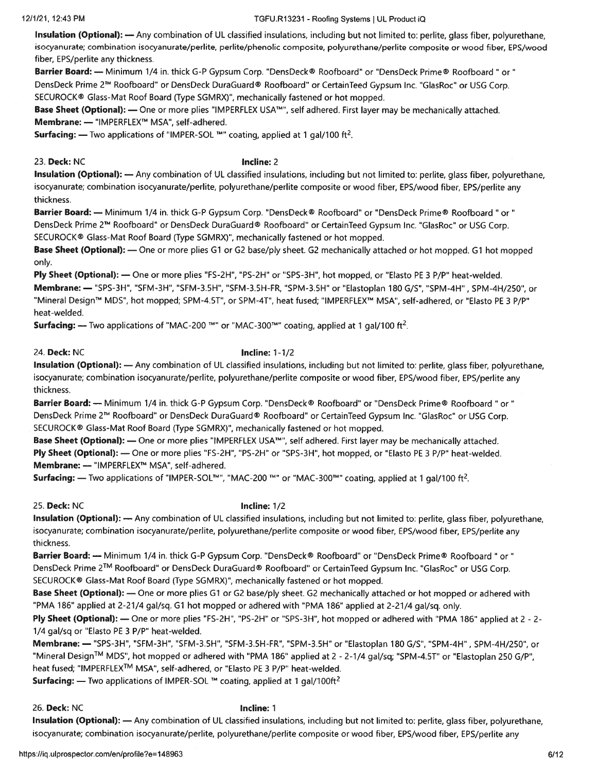### 12/1/21, 12:43 PM TGFU.R13231 - Roofing Systems UL Product iQ

Insulation (Optional): — Any combination of UL classified insulations, including but not limited to: perlite, <sup>g</sup>lass fiber, polyurethane, isocyanurate; combination isocyanurate/perlite, perlite/phenolic composite, polyurethane/perlite composite or wood fiber, EPS/wood fiber, EPS/perlite any thickness.

Barrier Board: — Minimum 1/4 in. thick G-P Gypsum Corp. "DensDeck® Roofboard" or "DensDeck Prime® Roofboard " or " DensDeck Prime 2™ Roofboard" or DensDeck DuraGuard® Roofboard" or CertainTeed Gypsum Inc. "GlasRoc" or USG Corp. SECUROCK® Glass-Mat Roof Board (Type SGMRX)", mechanically fastened or hot mopped.

Base Sheet (Optional): — One or more plies "IMPERFLEX USA™", self adhered. First layer may be mechanically attached. Membrane: - "IMPERFLEX™ MSA", self-adhered.

**Surfacing:** — Two applications of "IMPER-SOL  $M$ " coating, applied at 1 gal/100 ft<sup>2</sup>.

23. Deck: NC **Incline: 2** 

Insulation (Optional): — Any combination of UL classified insulations, including but not limited to: perlite, glass fiber, polyurethane, isocyanurate; combination isocyanurate/perlite, polyurethane/perlite composite or wood fiber, EPS/wood fiber, EPS/perlite any thickness.

Barrier Board: — Minimum 1/4 in. thick G-P Gypsum Corp. "DensDeck® Roofboard" or "DensDeck Prime® Roofboard " or " DensDeck Prime 2™ Roofboard" or DensDeck DuraGuard® Roofboard" or CertainTeed Gypsum Inc. "GlasRoc" or USG Corp. SECUROCK® Glass-Mat Roof Board (Type SGMRX)", mechanically fastened or hot mopped.

**Base Sheet (Optional):** — One or more plies G1 or G2 base/ply sheet. G2 mechanically attached or hot mopped. G1 hot mopped only.

Ply Sheet (Optional): — One or more plies "FS-2H", "PS-2H" or "SPS-3H", hot mopped, or "Elasto PE 3 P/P" heat-welded. Membrane: — "SPS-3H", "SFM-3H", "SFM-3.5H", "SFM-3.5H-FR, "SPM-3.5H" or "Elastoplan 180 G/S", "SPM-4H" , SPM-4H/250", or "Mineral Design™ MDS", hot mopped; SPM-4.5T", or SPM-4T", heat fused; "IMPERFLEX™ MSA", self-adhered, or "Elasto PE 3 P/P" heat-welded.

**Surfacing:** — Two applications of "MAC-200 <sup>TM</sup>" or "MAC-300<sup>TM</sup>" coating, applied at 1 gal/100 ft<sup>2</sup>.

### 24. Deck: NC **Incline: 1-1/2**

Insulation (Optional): — Any combination of UL classified insulations, including but not limited to: perlite, <sup>g</sup>lass fiber, polyurethane, isocyanurate; combination isocyanurate/perlite, polyurethane/perlite composite or wood fiber, EPS/wood fiber, EPS/perlite any thickness.

Barrier Board: — Minimum 1/4 in. thick G-P Gypsum Corp. "DensDeck® Roofboard" or "DensDeck Prime® Roofboard " or " DensDeck Prime 2TM Roofboard" or DensDeck DuraGuard® Roofboard" or CertainTeed Gypsum Inc. "GlasRoc" or USG Corp. SECUROCK® Glass-Mat Roof Board (Type SGMRX)", mechanically fastened or hot mopped.

Base Sheet (Optional): — One or more plies "IMPERFLEX USA<sup>TM</sup>", self adhered. First layer may be mechanically attached. Ply Sheet (Optional): — One or more plies "FS-2H", "PS-2H" or "SPS-3H", hot mopped, or "Elasto PE 3 P/P" heat-welded. Membrane: - "IMPERFLEX™ MSA", self-adhered.

**Surfacing:** — Two applications of "IMPER-SOL<sup>TM</sup>", "MAC-200 <sup>TM</sup>" or "MAC-300<sup>TM</sup>" coating, applied at 1 gal/100 ft<sup>2</sup>.

25. Deck: NC **Incline: 1/2** 

Insulation (Optional): — Any combination of UL classified insulations, including but not limited to: perlite, glass fiber, polyurethane, isocyanurate; combination isocyanurate/perlite, polyurethane/perlite composite or wood fiber, EPS/wood fiber, EPS/perlite any thickness.

Barrier Board: — Minimum 1/4 in. thick G-P Gypsum Corp. "DensDeck® Roofboard" or "DensDeck Prime® Roofboard " or" DensDeck Prime 2TM Roofboard" or DensDeck DuraGuard® Roofboard" or CertainTeed Gypsum Inc. "GlasRoc" or USG Corp. SECUROCK® Glass-Mat Roof Board (Type SGMRX)", mechanically fastened or hot mopped.

Base Sheet (Optional): — One or more <sup>p</sup>lies Gi or G2 base/ply sheet. G2 mechanically attached or hot mopped or adhered with "PMA 186" applied at 2-21/4 gal/sq. Gi hot moppe<sup>d</sup> or adhered with "PMA 186" applied at 2-21/4 gal/sq. only.

Ply Sheet (Optional): — One or more <sup>p</sup>lies "FS-2H", "PS-2H" or "SPS-3H", hot mopped or adhered with "PMA 186" applied at <sup>2</sup> - 2- 1/4 gal/sq or "Elasto PE 3 P/P" heat-welded.

Membrane: — "SPS-3H", "SFM-3H", "SFM-3.5H", "SFM-3.5H-FR", "SPM-3.5H" or "Elastoplan 180 G/S", "SPM-4H" , SPM-4H/250", or "Mineral Design<sup>TM</sup> MDS", hot mopped or adhered with "PMA 186" applied at 2 - 2-1/4 gal/sq; "SPM-4.5T" or "Elastoplan 250 G/P", heat fused; "IMPERFLEXTM MSA", self-adhered, or "Elasto PE <sup>3</sup> P/P" heat-welded.

**Surfacing:**  $\rightarrow$  Two applications of IMPER-SOL ™ coating, applied at 1 gal/100ft<sup>2</sup>

26. Deck: NC **Incline: 1** 

Insulation (Optional): — Any combination of UL classified insulations, including but not limited to: perlite, <sup>g</sup>lass fiber, polyurethane, isocyanurate; combination isocyanurate/perlite, polyurethane/perlite composite or wood fiber, EPS/wood fiber, EPS/perlite any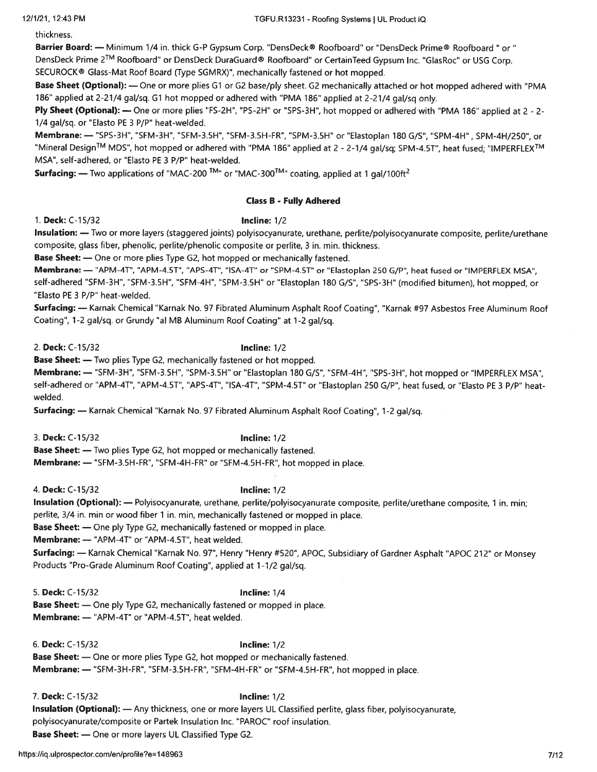thickness.

Barrier Board: - Minimum 1/4 in. thick G-P Gypsum Corp. "DensDeck® Roofboard" or "DensDeck Prime® Roofboard " or "

DensDeck Prime 2<sup>TM</sup> Roofboard" or DensDeck DuraGuard® Roofboard" or CertainTeed Gypsum Inc. "GlasRoc" or USG Corp. SECUROCK® Glass-Mat Roof Board (Type SGMRX)", mechanically fastened or hot mopped.

Base Sheet (Optional): — One or more <sup>p</sup>lies G1 or G2 base/ply sheet. G2 mechanically attached or hot mopped adhered with "PMA 186" applied at 2-21/4 gal/sq. G1 hot mopped or adhered with "PMA 186" applied at 2-21/4 gal/sq only.

Ply Sheet (Optional): — One or more plies "FS-2H", "PS-2H" or "SPS-3H", hot mopped or adhered with "PMA 186" applied at  $2 - 2$ -1/4 gal/sq. or "Elasto PE 3 P/P' heat-welded.

Membrane: - "SPS-3H", "SFM-3H", "SFM-3.5H", "SFM-3.5H-FR", "SPM-3.5H" or "Elastoplan 180 G/S", "SPM-4H". SPM-4H/250", or "Mineral Design<sup>TM</sup> MDS", hot mopped or adhered with "PMA 186" applied at 2 - 2-1/4 gal/sq; SPM-4.5T", heat fused; "IMPERFLEX<sup>TM</sup> MSA", self-adhered, or "Elasto PE 3 P/P" heat-welded.

**Surfacing:** — Two applications of "MAC-200  $^{TM}$ " or "MAC-300<sup>TM</sup>" coating, applied at 1 gal/100ft<sup>2</sup>

### Class B - Fully Adhered

1. Deck: C-i 5/32 Incline: 1/2

Insulation: — Two or more layers (staggered joints) polyisocyanurate, urethane, perlite/polyisocyanurate composite, perlite/urethane composite, glass fiber, phenolic, perlite/phenolic composite or perlite, 3 in. min. thickness.

Base Sheet: — One or more <sup>p</sup>lies Type G2, hot mopped or mechanically fastened.

Membrane: - "APM-4T", "APM-4.5T", "APS-4T", "ISA-4T" or "SPM-4.5T" or "Elastoplan 250 G/P", heat fused or "IMPERFLEX MSA", self-adhered "SFM-3H", "SFM-3.5H", "SFM-4H", "SPM-3.5H" or "Elastoplan 180 G/S", "SPS-3H" (modified bitumen), hot mopped, or "Elasto PE 3 P/P' heat-welded.

Surfacing: — Karnak Chemical "Karnak No. 97 Fibrated Aluminum Asphalt Roof Coating", "Karnak #97 Asbestos Free Aluminum Roof Coating", 1-2 gal/sq. or Grundy 'al MB Aluminum Roof Coating" at 1-2 gal/sq.

2. Deck: C-i 5/32 Incline: 1/2

Base Sheet: — Two plies Type G2, mechanically fastened or hot mopped.

Membrane: — "SFM-3H", "SFM-3.5H", "SPM-3.5H" or "Elastoplan <sup>180</sup> G/S", "SFM-4H", "SPS-3H", hot moppe<sup>d</sup> or 'IMPERFLEX MSA", self-adhered or "APM-4T", "APM-4.5T", "APS-4T", "ISA-4T", "SPM-4.ST" or "Elastoplan 250 G/P", heat fused, or "Elasto PE <sup>3</sup> P/P' heatwelded.

Surfacing: — Karnak Chemical "Karnak No. <sup>97</sup> Fibrated Aluminum Asphalt Roof Coating", 1-2 gal/sq.

3. Deck: C-15/32 **Incline:** 1/2

Base Sheet: — Two <sup>p</sup>lies Type G2, hot mopped or mechanically fastened.

Membrane: — "SFM-3.5H-FR", "SFM-4H-FR" or "SFM-4.5H-FR", hot moppe<sup>d</sup> in <sup>p</sup>lace.

4. Deck: C-i 5/32 Incline: 1/2

Insulation (Optional): - Polyisocyanurate, urethane, perlite/polyisocyanurate composite, perlite/urethane composite, 1 in. min; perlite, 3/4 in. min or wood fiber 1 in. min, mechanically fastened or mopped in place.

Base Sheet: — One ply Type G2, mechanically fastened or mopped in place.

Membrane: - "APM-4T" or "APM-4.5T", heat welded.

Surfacing: — Karnak Chemical "Karnak No. 97", Henry "Henry #520", APOC, Subsidiary of Gardner Asphalt "APOC 212" or Monsey Products "Pro-Grade Aluminum Roof Coating", applied at 1-1/2 gal/sq.

5. Deck: C-i 5/32 Incline: 1/4

Base Sheet: — One <sup>p</sup>ly Type G2, mechanically fastened or mopped in <sup>p</sup>lace. Membrane: — "APM-4T" or "APM-4.5T", heat welded.

6. Deck: C-i5/32 Incline: 1/2 Base Sheet: — One or more plies Type G2, hot mopped or mechanically fastened. Membrane: — "SFM-3H-FR", "SFM-3.5H-FR', "SFM-4H-FR" or "SFM-4.5H-FR", hot moppe<sup>d</sup> in <sup>p</sup>lace.

7. Deck: C-15/32 **Incline:** 1/2

Insulation (Optional): — Any thickness, one or more layers UL Classified perlite, <sup>g</sup>lass fiber, polyisocyanurate, polyisocyanurate/composite or Partek Insulation Inc. "PAROC" roof insulation. Base Sheet: — One or more layers UL Classified Type G2.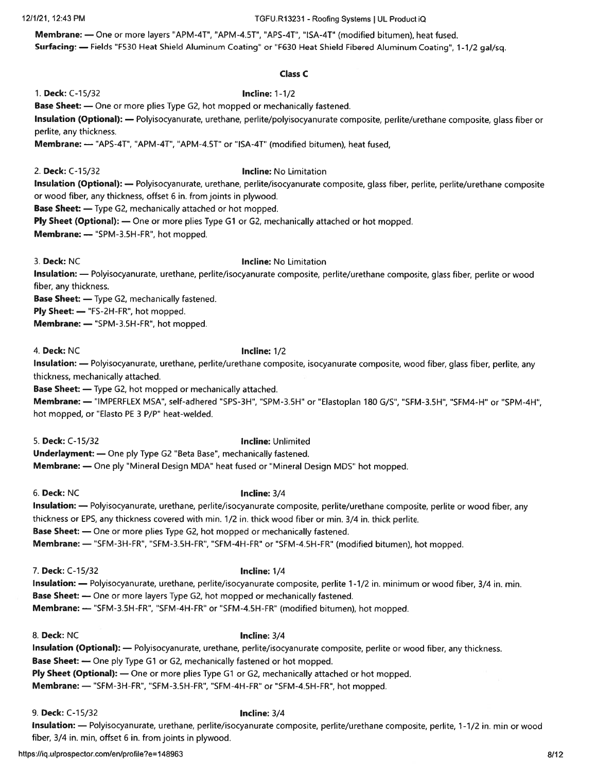### 12/1/21, 12:43 PM TGFU.R13231 - Roofing Systems <sup>I</sup> UL ProductiQ

Membrane: — One or more layers "APM-4T", "APM-4.5T", 'APS-4T", "ISA-4T" (modified bitumen), heat fused. Surfacing: — Fields "F530 Heat Shield Aluminum Coating" or "F630 Heat Shield Fibered Aluminum Coating", 1-1/2 gal/sq.

### Class C

1. Deck: C-15/32 **Incline: 1-1/2** 

Base Sheet: — One or more plies Type G2, hot mopped or mechanically fastened.

Insulation (Optional): — Polyisocyanurate, urethane, perlite/polyisocyanurate composite, perlite/urethane composite, <sup>g</sup>lass fiber or perlite, any thickness.

Membrane: — "APS-4T", "APM-4T", "APM-4.5T" or "ISA-4T" (modified bitumen), heat fused,

### 2. Deck: C-15/32 **Incline:** No Limitation

Insulation (Optional): - Polyisocyanurate, urethane, perlite/isocyanurate composite, glass fiber, perlite, perlite/urethane composite or wood fiber, any thickness, offset 6 in. from joints in plywood.

Base Sheet: — Type G2, mechanically attached or hot mopped.

Ply Sheet (Optional): — One or more plies Type G1 or G2, mechanically attached or hot mopped.

Membrane: — "SPM-3.5H-FR", hot mopped.

### 3. Deck: NC **Incline: No Limitation**

Insulation: - Polyisocyanurate, urethane, perlite/isocyanurate composite, perlite/urethane composite, glass fiber, perlite or wood fiber, any thickness.

Base Sheet: — Type G2, mechanically fastened.

Ply Sheet: - "FS-2H-FR", hot mopped.

Membrane: — "SPM-3.5H-FR", hot mopped.

4. Deck: NC **Incline:** 1/2

Insulation: — Polyisocyanurate, urethane, perlite/urethane composite, isocyanurate composite, wood fiber, <sup>g</sup>lass fiber, perlite, any thickness, mechanically attached.

Base Sheet: — Type G2, hot mopped or mechanically attached.

Membrane: — "IMPERFLEX MSA", self-adhered "SPS-3H", "SPM-3.5H" or "Elastoplan 180 G/S", "SFM-3.5H", "SFM4-H" or "SPM-4H", hot mopped, or "Elasto PE 3 P/P" heat-welded.

### 5. Deck: C-i 5/32 Incline: Unlimited

Underlayment: — One ply Type G2 "Beta Base", mechanically fastened.

Membrane: — One <sup>p</sup>ly "Mineral Design MDA" heat fused or "Mineral Design MDS" hot mopped.

6. Deck: NC Incline: 3/4

Insulation: — Polyisocyanurate, urethane, perlite/isocyanurate composite, perlite/urethane composite, perlite or wood fiber, any thickness or EPS, any thickness covered with min. 1/2 in. thick wood fiber or min. 3/4 in. thick perlite.

Base Sheet: — One or more plies Type G2, hot mopped or mechanically fastened.

Membrane: — "SFM-3H-FR", "SFM-3.5H-FR", "SFM-4H-FR" or "SFM-4.5H-FR" (modified bitumen), hot mopped.

7. Deck: C-15/32 **Incline:** 1/4

Insulation: - Polyisocyanurate, urethane, perlite/isocyanurate composite, perlite 1-1/2 in. minimum or wood fiber, 3/4 in. min. Base Sheet: — One or more layers Type G2, hot mopped or mechanically fastened.

Membrane: — "SFM-3.5H-FR", "SFM-4H-FR" or "SFM-4.5H-FR" (modified bitumen), hot mopped.

8. Deck: NC **Incline: 3/4** 

Insulation (Optional): — Polyisocyanurate, urethane, perlite/isocyanurate composite, perlite or wood fiber, any thickness. Base Sheet: — One ply Type Gi or G2, mechanically fastened or hot mopped. Ply Sheet (Optional): — One or more plies Type G1 or G2, mechanically attached or hot mopped. Membrane: — "SFM-3H-FR", "SFM-3.5H-FR", "SFM-4H-FR" or "SFM-4.5H-FR", hot mopped.

9. Deck: C-15/32 **Incline:** 3/4

Insulation: - Polyisocyanurate, urethane, perlite/isocyanurate composite, perlite/urethane composite, perlite, 1-1/2 in. min or wood fiber, 3/4 in. min, offset 6 in. from joints in plywood.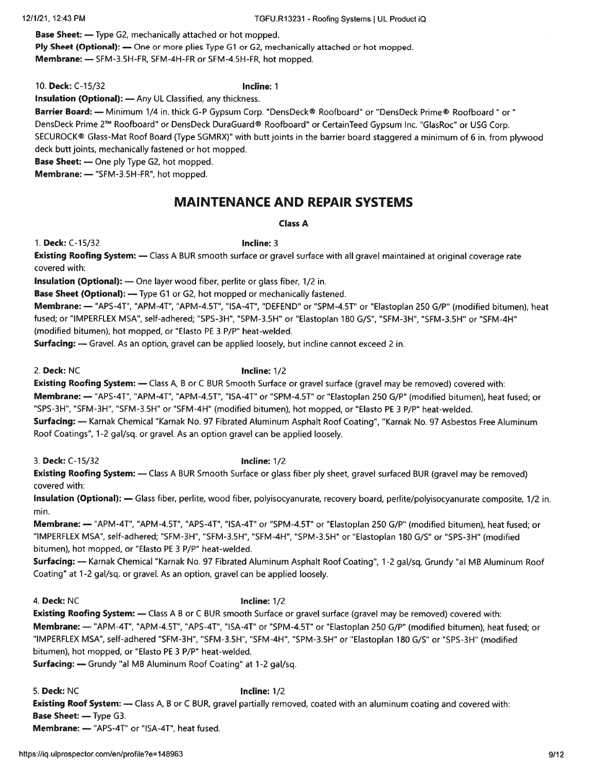Base Sheet: — Type G2, mechanically attached or hot mopped.

Ply Sheet (Optional): — One or more plies Type G1 or G2, mechanically attached or hot mopped. Membrane: — SFM-3.5H-FR, SFM-4H-FR or SFM-4.SH-FR, hot mopped.

10. Deck: C-15/32 **Incline: 1** 

Insulation (Optional): — Any UL Classified, any thickness.

Barrier Board: - Minimum 1/4 in. thick G-P Gypsum Corp. "DensDeck® Roofboard" or "DensDeck Prime® Roofboard " or " DensDeck Prime 2T1 Roofboard" or DensDeck DuraGuard® Roofboard" or CertainTeed Gypsum Inc. "GlasRoc" or USG Corp. SECUROCK® Glass-Mat Roof Board (Type SGMRX)" with butt joints in the barrier board staggered <sup>a</sup> minimum of <sup>6</sup> in. from <sup>p</sup>lywood deck butt joints, mechanically fastened or hot mopped.

Base Sheet: — One ply Type G2, hot mopped.

Membrane: — "SFM-3.5H-FR", hot mopped.

# MAINTENANCE AND REPAIR SYSTEMS

### Class A

1. Deck: C-15/32 **Incline: 3** 

Existing Roofing System: - Class A BUR smooth surface or gravel surface with all gravel maintained at original coverage rate covered with:

Insulation (Optional): — One layer wood fiber, perlite or <sup>g</sup>lass fiber, 1/2 in.

Base Sheet (Optional): - Type G1 or G2, hot mopped or mechanically fastened.

Membrane: - "APS-4T", "APM-4T", "APM-4.5T", "ISA-4T", "DEFEND" or "SPM-4.5T" or "Elastoplan 250 G/P" (modified bitumen), heat fused; or "IMPERFLEX MSA", self-adhered; "SPS-3H", "SPM-3.5H" or "Elastoplan 180 G/S", "SFM-3H", "SFM-3.SH" or "SFM-4H" (modified bitumen), hot mopped, or "Elasto PE 3 P/P' heat-welded.

Surfacing: — Gravel. As an option, gravel can be applied loosely, but incline cannot exceed <sup>2</sup> in.

2. Deck: NC **Incline:** 1/2

Existing Roofing System: — Class A, <sup>B</sup> or C BUR Smooth Surface or gravel surface (gravel may be removed) covered with: Membrane: — "APS-4T", "APM-4T", "APM-4.5T", "ISA-4T" or "SPM-4.ST" or "Elastoplan 250 G/P" (modified bitumen), heat fused; or "SPS-3H", "SFM-3H", "SFM-3.SH" or "SFM-4H" (modified bitumen), hot mopped, or "Elasto PE 3 P/P" heat-welded. Surfacing: — Karnak Chemical "Karnak No. 97 Fibrated Aluminum Asphalt Roof Coating", "Karnak No. 97 Asbestos Free Aluminum Roof Coatings", 1-2 gal/sq. or gravel. As an option gravel can be applied loosely.

3. Deck: C-15/32 **Incline:** 1/2

**Existing Roofing System:** — Class A BUR Smooth Surface or glass fiber ply sheet, gravel surfaced BUR (gravel may be removed) covered with:

Insulation (Optional): - Glass fiber, perlite, wood fiber, polyisocyanurate, recovery board, perlite/polyisocyanurate composite, 1/2 in. min.

Membrane: — "APM-4T", "APM-4.ST", "APS-4T", "ISA-4T" or "SPM-4.5T" or "Elastoplan 250 G/P" (modified bitumen), heat fused; or "IMPERFLEX MSA", self-adhered; "SFM-3H", "SFM-3.SH", "SFM-4H", "SPM-3.5H" or "Elastoplan 180 G/S" or "SPS-3H" (modified bitumen), hot mopped, or "Elasto PE 3 P/P' heat-welded,

Surfacing: — Karnak Chemical "Karnak No. <sup>97</sup> Fibrated Aluminum Asphalt Roof Coating", 1-2 gal/sq, Grundy 'al MB Aluminum Roof Coating" at 1-2 gal/sq. or gravel. As an option, gravel can be applied loosely.

4. Deck: NC **Incline: 1/2** 

Existing Roofing System: — Class <sup>A</sup> <sup>B</sup> or C BUR smooth Surface or grave<sup>l</sup> surface (gravel may be removed) covered with: Membrane: — "APM-4T", "APM-4.5T", "APS-4T", "ISA-4T" or "SPM-4.5T" or "Elastoplan 250 G/P" (modified bitumen), heat fused; or "IMPERFLEX MSA", self-adhered "SFM-3H", "SFM-3.5H", "SFM-4H", "SPM-3.5H" or "Elastoplan 180 G/S" or "SPS-3H" (modified bitumen), hot mopped, or "Elasto PE 3 P/P" heat-welded.

Surfacing: — Grundy 'al MB Aluminum Roof Coating" at 1-2 gal/sq.

5. Deck: NC **Incline: 1/2** 

Existing Roof System: — Class A, <sup>B</sup> or C BUR, gravel partially removed, coated with an aluminum coating and covered with: Base Sheet: — Type G3.

Membrane: — "APS-4T" or "ISA-4T", heat fused.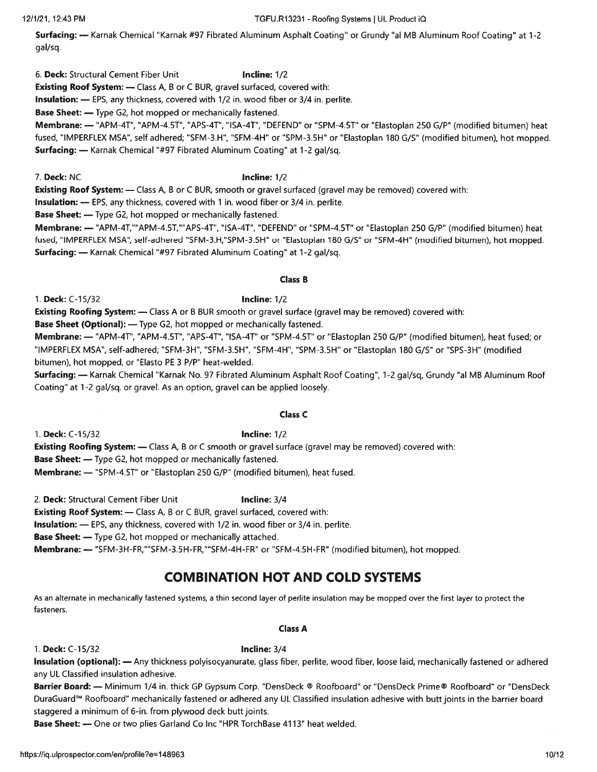https://iq.ulprospector.com/en/profile?e=148963 10/12

Surfacing: — Karnak Chemical "Karnak #97 Fibrated Aluminum Asphalt Coating' or Grundy 'al MB Aluminum Roof Coating" at 1-2 gal/sq.

6. Deck: Structural Cement Fiber Unit **Incline:** 1/2

Existing Roof System: — Class A, B or C BUR, gravel surfaced, covered with:

Insulation: — EPS, any thickness, covered with 1/2 in. wood fiber or 3/4 in. perlite.

Base Sheet: — Type G2, hot mopped or mechanically fastened.

Membrane: — "APM-4T", "APM-4.5T", "APS-4T", "ISA-4T", "DEFEND" or "SPM-4.5T" or "Elastoplan 250 G/P" (modified bitumen) heat fused, "IMPERFLEX MSA", self adhered; "SFM-3.H", "SFM-4H" or "SPM-3.5H" or "Elastoplan <sup>180</sup> G/S" (modified bitumen), hot mopped. Surfacing: — Karnak Chemical "#97 Fibrated Aluminum Coating" at 1-2 gal/sq.

7. Deck: NC Incline: 1/2

Existing Roof System: — Class A, B or C BUR, smooth or gravel surfaced (gravel may be removed) covered with:

Insulation: — EPS, any thickness, covered with 1 in. wood fiber or 3/4 in. perlite.

Base Sheet: — Type G2, hot mopped or mechanically fastened.

Membrane: — "APM-4T,"APM-4.5T,"APS-4T", "ISA-4T", "DEFEND" or 'SPM-4.5T' or "Elastoplan 250 G/P" (modified bitumen) heat fused, "IMPERFLEX MSA", self-adhered "SFM-3.H,"SPM-3.5H" or "Elastoplan 180 G/S" or "SFM-4H" (modified bitumen), hot mopped. Surfacing: — Karnak Chemical "#97 Fibrated Aluminum Coating" at 1-2 gal/sq.

### Class B

1. Deck: C-15/32 Incline: 1/2

Existing Roofing System: — Class A or B BUR smooth or gravel surface (gravel may be removed) covered with:

Base Sheet (Optional): — Type G2, hot mopped or mechanically fastened.

Membrane: — "APM-4T", "APM-4,5T", "APS-4T", "ISA-4T" or "SPM-4.5T" or "Elastoplan 250 G/P" (modified bitumen), heat fused; or "IMPERFLEX MSA", self-adhered; "SFM-3H", "SFM-3.SH", "SFM-4H", "SPM-3.5H" or "Elastoplan 180 G/S" or "SPS-3H" (modified bitumen), hot mopped, or "Elasto PE 3 P/P' heat-welded.

Surfacing: — Karnak Chemical "Karnak No. 97 Fibrated Aluminum Asphalt Roof Coating", 1-2 gal/sq, Grundy 'al MB Aluminum Roof Coating" at 1-2 gal/sq. or gravel. As an option, gravel can be applied loosely.

### Class C

1. Deck: C-15/32 **Incline:** 1/2 Existing Roofing System: — Class A, B or C smooth or gravel surface (gravel may be removed) covered with: Base Sheet: — Type G2, hot mopped or mechanically fastened. Membrane: — "SPM-4.5T" or "Elastoplan 250 G/P" (modified bitumen), heat fused.

2. Deck: Structural Cement Fiber Unit **Incline:** 3/4

Existing Roof System: — Class A, B or C BUR, gravel surfaced, covered with:

Insulation: — EPS, any thickness, covered with 1/2 in. wood fiber or 3/4 in. perlite.

Base Sheet: — Type G2, hot mopped or mechanically attached.

Membrane: - "SFM-3H-FR,""SFM-3.5H-FR,""SFM-4H-FR" or "SFM-4.5H-FR" (modified bitumen), hot mopped.

# COMBINATION HOT AND COLD SYSTEMS

As an alternate in mechanically fastened systems, <sup>a</sup> thin second layer of perlite insulation may be mopped over the first layer to protect the fasteners.

### Class A

1. Deck: C-i 5/32 Incline: 3/4

Insulation (optional): — Any thickness polyisocyanurate, glass fiber, perlite, wood fiber, loose laid, mechanically fastened or adhered any UL Classified insulation adhesive.

Barrier Board: — Minimum 1/4 in. thick GP Gypsum Corp. "DensDeck ® Roofboard" or "DensDeck Prime® Roofboard" or "DensDeck DuraGuard™ Roofboard" mechanically fastened or adhered any UL Classified insulation adhesive with butt joints in the barrier board staggered <sup>a</sup> minimum of 6-in, from plywood deck butt joints.

Base Sheet: — One or two plies Garland Co Inc "HPR TorchBase 4113" heat welded.

### 12/1/21, 12:43 PM TGFU.R13231 -Roofing Systems I UL Product iQ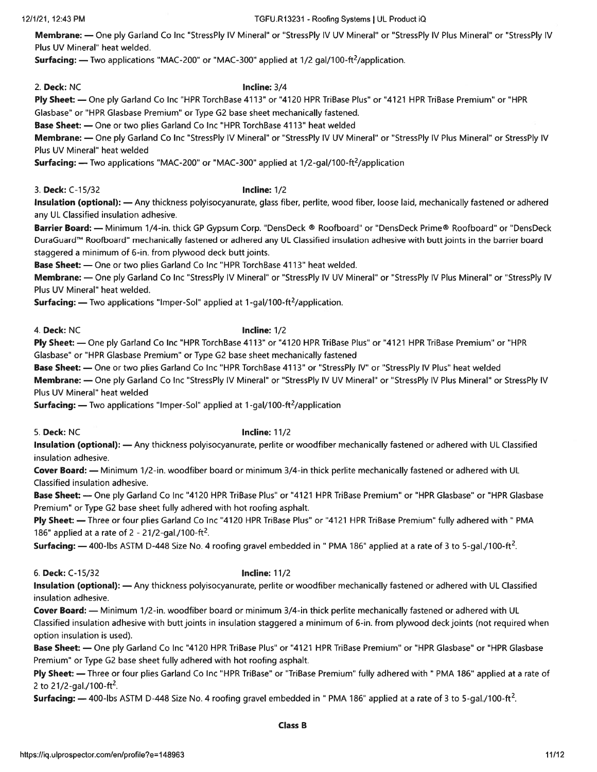### 12/1/21, 12:43 PM TGFU.R13231 -Roofing Systems I UL Product iQ

Membrane: - One ply Garland Co Inc "StressPly IV Mineral" or "StressPly IV UV Mineral" or "StressPly IV Plus Mineral" or "StressPly IV Plus UV Mineral' heat welded.

Surfacing: — Two applications "MAC-200" or "MAC-300" applied at 1/2 gal/100-ft<sup>2</sup>/application.

2. Deck: NC **Incline:** 3/4

Ply Sheet: - One ply Garland Co Inc "HPR TorchBase 4113" or "4120 HPR TriBase Plus" or "4121 HPR TriBase Premium" or "HPR Glasbase" or "HPR Glasbase Premium" or Type G2 base sheet mechanically fastened.

Base Sheet: — One or two plies Garland Co Inc "HPR TorchBase 4113" heat welded

Membrane: — One ply Garland Co Inc "StressPly IV Mineral" or "StressPly IV UV Mineral" or "StressPly IV Plus Mineral" or StressPly IV Plus UV Mineral" heat welded

**Surfacing:** — Two applications "MAC-200" or "MAC-300" applied at  $1/2$ -gal/100-ft<sup>2</sup>/application

3. Deck: C-i 5/32 Incline: 1/2

Insulation (optional): — Any thickness polyisocyanurate, glass fiber, perlite, wood fiber, loose laid, mechanically fastened or adhered any UL Classified insulation adhesive.

Barrier Board: — Minimum 1/4-in, thick GP Gypsum Corp. "DensDeck ® Roofboard" or "DensDeck Prime® Roofboard" or "DensDeck DuraGuardTM Roofboard" mechanically fastened or adhered any UL Classified insulation adhesive with butt joints in the barrier board staggered <sup>a</sup> minimum of 6-in, from plywood deck butt joints.

Base Sheet: — One or two plies Garland Co Inc "HPR TorchBase 4113" heat welded.

Membrane: — One ply Garland Co Inc "StressPly IV Mineral" or "StressPly IV UV Mineral" or "StressPly IV Plus Mineral" or "StressPly IV Plus UV Mineral" heat welded.

**Surfacing:** — Two applications "Imper-Sol" applied at  $1$ -gal/100-ft<sup>2</sup>/application.

4. Deck: NC **Incline: 1/2** 

Ply Sheet: - One ply Garland Co Inc "HPR TorchBase 4113" or "4120 HPR TriBase Plus" or "4121 HPR TriBase Premium" or "HPR Glasbase" or "HPR Glasbase Premium" or Type G2 base sheet mechanically fastened

Base Sheet: — One or two plies Garland Co Inc "HPR TorchBase 4113" or "StressPly IV" or "StressPly IV Plus" heat welded

Membrane: — One ply Garland Co Inc "StressPly IV Mineral" or "StressPly IV UV Mineral" or "StressPly IV Plus Mineral" or StressPly IV Plus UV Mineral" heat welded

**Surfacing:** — Two applications "Imper-Sol" applied at 1-gal/100-ft<sup>2</sup>/application

5. Deck: NC **Incline: 11/2** 

Insulation (optional): — Any thickness polyisocyanurate, perlite or woodfiber mechanically fastened or adhered with UL Classified insulation adhesive.

Cover Board: — Minimum 1/2-in. woodfiber board or minimum 3/4-in thick perlite mechanically fastened or adhered with UL Classified insulation adhesive.

Base Sheet: — One ply Garland Co Inc "4120 HPR TriBase Plus" or "4121 HPR TriBase Premium" or "HPR Glasbase" or "HPR Glasbase Premium" or Type G2 base sheet fully adhered with hot roofing asphalt.

Ply Sheet: — Three or four plies Garland Co Inc "4120 HPR TriBase Plus" or "4121 HPR TriBase Premium" fully adhered with " PMA 186" applied at a rate of 2 - 21/2-gal./100-ft<sup>2</sup>.

Surfacing: - 400-lbs ASTM D-448 Size No. 4 roofing gravel embedded in " PMA 186" applied at a rate of 3 to 5-gal./100-ft<sup>2</sup>.

6. Deck: C-i 5/32 Incline: 11/2

Insulation (optional): — Any thickness polyisocyanurate, perlite or woodfiber mechanically fastened or adhered with UL Classified insulation adhesive.

Cover Board: — Minimum 1/2-in. woodfiber board or minimum 3/4-in thick perlite mechanically fastened or adhered with UL Classified insulation adhesive with butt joints in insulation staggered <sup>a</sup> minimum of 6-in, from plywood deck joints (not required when option insulation is used).

Base Sheet: — One ply Garland Co Inc "4120 HPR TriBase Plus" or "4121 HPR TriBase Premium" or "HPR Glasbase" or "HPR Glasbase Premium" or Type G2 base sheet fully adhered with hot roofing asphalt.

Ply Sheet: — Three or four plies Garland Co Inc "HPR TriBase" or "TriBase Premium" fully adhered with " PMA 186" applied at <sup>a</sup> rate of 2 to  $21/2$ -gal./100-ft<sup>2</sup>.

**Surfacing:**  $-$  400-lbs ASTM D-448 Size No. 4 roofing gravel embedded in "PMA 186" applied at a rate of 3 to 5-gal./100-ft<sup>2</sup>.

### Class B